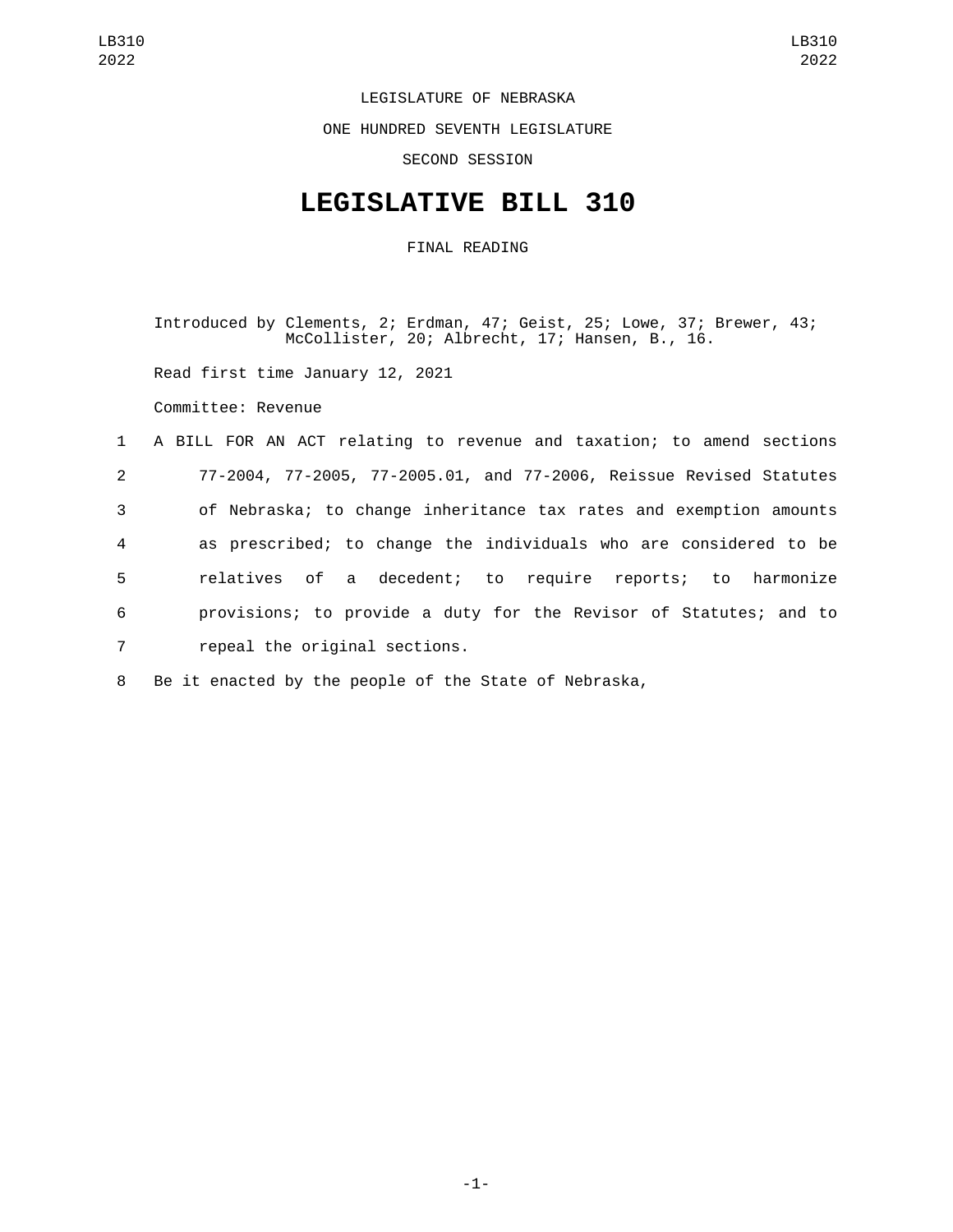LEGISLATURE OF NEBRASKA

ONE HUNDRED SEVENTH LEGISLATURE

SECOND SESSION

## **LEGISLATIVE BILL 310**

FINAL READING

Introduced by Clements, 2; Erdman, 47; Geist, 25; Lowe, 37; Brewer, 43; McCollister, 20; Albrecht, 17; Hansen, B., 16.

Read first time January 12, 2021

Committee: Revenue

|                 | 1 A BILL FOR AN ACT relating to revenue and taxation; to amend sections |
|-----------------|-------------------------------------------------------------------------|
| $2^{\circ}$     | 77-2004, 77-2005, 77-2005.01, and 77-2006, Reissue Revised Statutes     |
| 3               | of Nebraska; to change inheritance tax rates and exemption amounts      |
| $\overline{4}$  | as prescribed; to change the individuals who are considered to be       |
| 5               | relatives of a decedent; to require reports; to harmonize               |
| 6               | provisions; to provide a duty for the Revisor of Statutes; and to       |
| $7\overline{ }$ | repeal the original sections.                                           |

8 Be it enacted by the people of the State of Nebraska,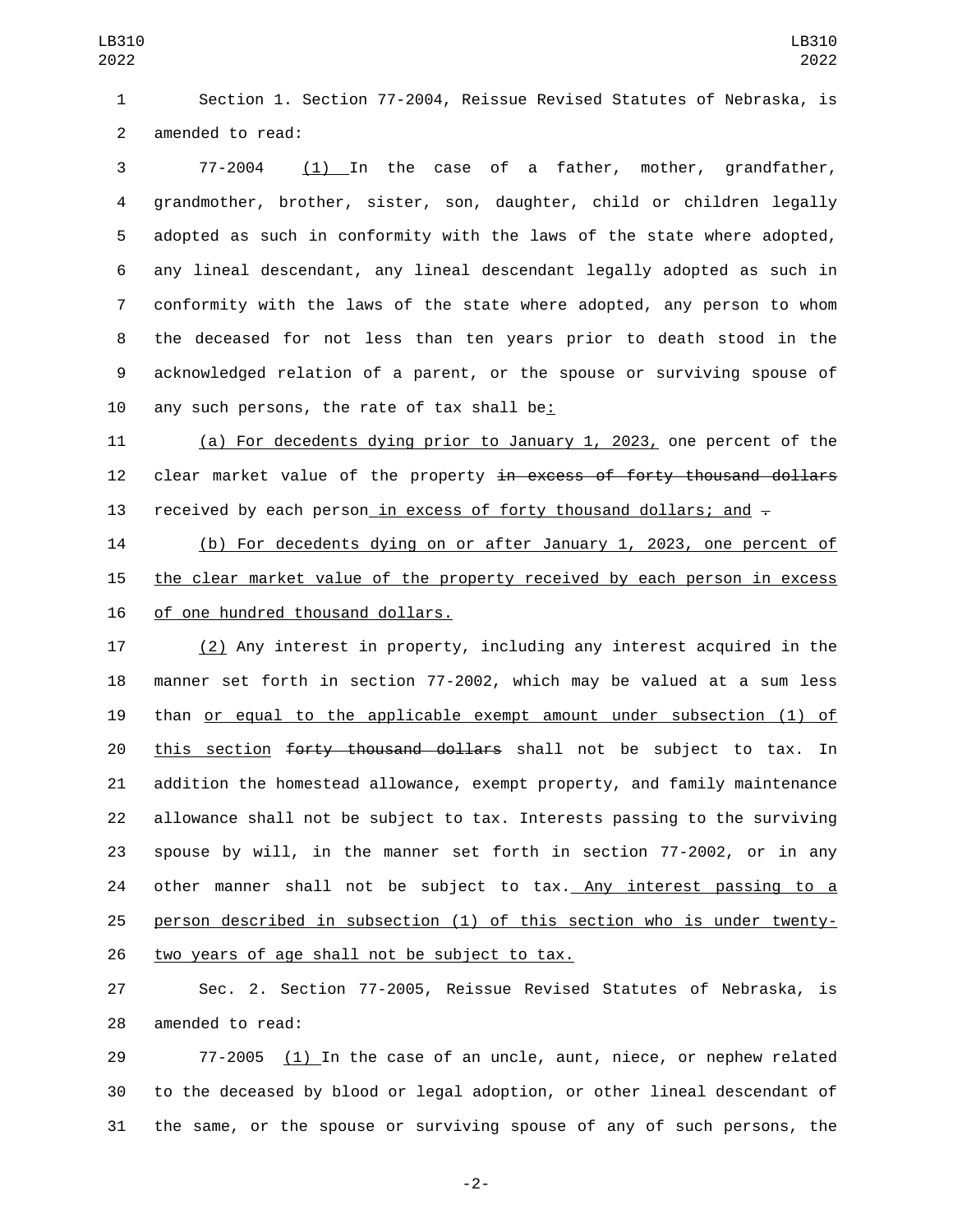Section 1. Section 77-2004, Reissue Revised Statutes of Nebraska, is 2 amended to read:

 77-2004 (1) In the case of a father, mother, grandfather, grandmother, brother, sister, son, daughter, child or children legally adopted as such in conformity with the laws of the state where adopted, any lineal descendant, any lineal descendant legally adopted as such in conformity with the laws of the state where adopted, any person to whom the deceased for not less than ten years prior to death stood in the acknowledged relation of a parent, or the spouse or surviving spouse of 10 any such persons, the rate of tax shall be:

 (a) For decedents dying prior to January 1, 2023, one percent of the 12 clear market value of the property in excess of forty thousand dollars 13 received by each person in excess of forty thousand dollars; and  $-$ 

 (b) For decedents dying on or after January 1, 2023, one percent of the clear market value of the property received by each person in excess 16 of one hundred thousand dollars.

 (2) Any interest in property, including any interest acquired in the manner set forth in section 77-2002, which may be valued at a sum less than or equal to the applicable exempt amount under subsection (1) of 20 this section forty thousand dollars shall not be subject to tax. In addition the homestead allowance, exempt property, and family maintenance allowance shall not be subject to tax. Interests passing to the surviving spouse by will, in the manner set forth in section 77-2002, or in any 24 other manner shall not be subject to tax. Any interest passing to a person described in subsection (1) of this section who is under twenty-26 two years of age shall not be subject to tax.

 Sec. 2. Section 77-2005, Reissue Revised Statutes of Nebraska, is 28 amended to read:

 77-2005 (1) In the case of an uncle, aunt, niece, or nephew related to the deceased by blood or legal adoption, or other lineal descendant of the same, or the spouse or surviving spouse of any of such persons, the

-2-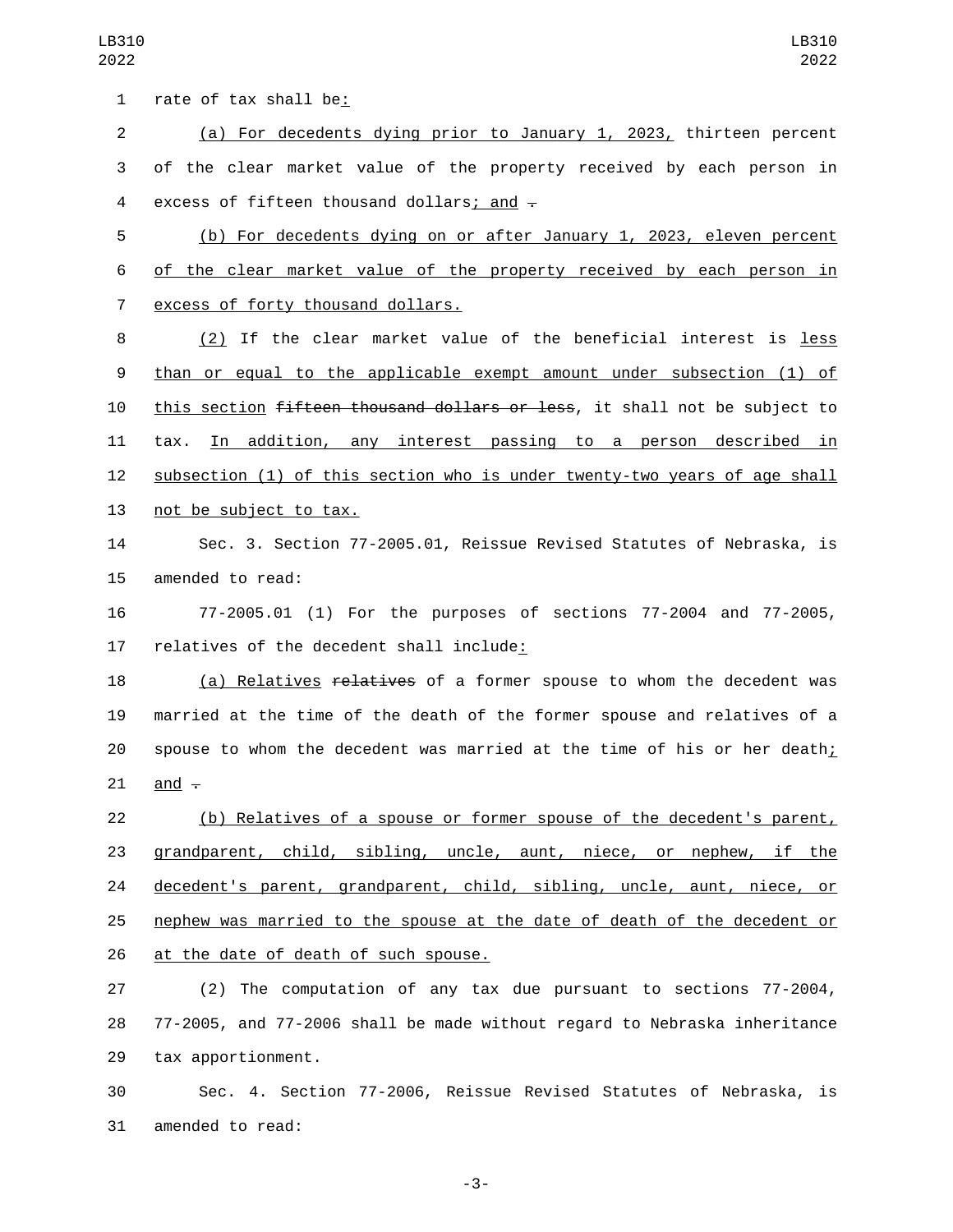1 rate of tax shall be: 2 (a) For decedents dying prior to January 1, 2023, thirteen percent 3 of the clear market value of the property received by each person in 4 excess of fifteen thousand dollars; and  $\overline{+}$ 5 (b) For decedents dying on or after January 1, 2023, eleven percent 6 of the clear market value of the property received by each person in 7 excess of forty thousand dollars. 8 (2) If the clear market value of the beneficial interest is less 9 than or equal to the applicable exempt amount under subsection (1) of 10 this section fifteen thousand dollars or less, it shall not be subject to 11 tax. In addition, any interest passing to a person described in 12 subsection (1) of this section who is under twenty-two years of age shall 13 not be subject to tax. 14 Sec. 3. Section 77-2005.01, Reissue Revised Statutes of Nebraska, is 15 amended to read: 16 77-2005.01 (1) For the purposes of sections 77-2004 and 77-2005, 17 relatives of the decedent shall include: 18 (a) Relatives relatives of a former spouse to whom the decedent was 19 married at the time of the death of the former spouse and relatives of a 20 spouse to whom the decedent was married at the time of his or her death; 21 and  $-$ 22 (b) Relatives of a spouse or former spouse of the decedent's parent, 23 grandparent, child, sibling, uncle, aunt, niece, or nephew, if the 24 decedent's parent, grandparent, child, sibling, uncle, aunt, niece, or 25 nephew was married to the spouse at the date of death of the decedent or 26 at the date of death of such spouse. 27 (2) The computation of any tax due pursuant to sections 77-2004, 28 77-2005, and 77-2006 shall be made without regard to Nebraska inheritance 29 tax apportionment.

30 Sec. 4. Section 77-2006, Reissue Revised Statutes of Nebraska, is 31 amended to read:

-3-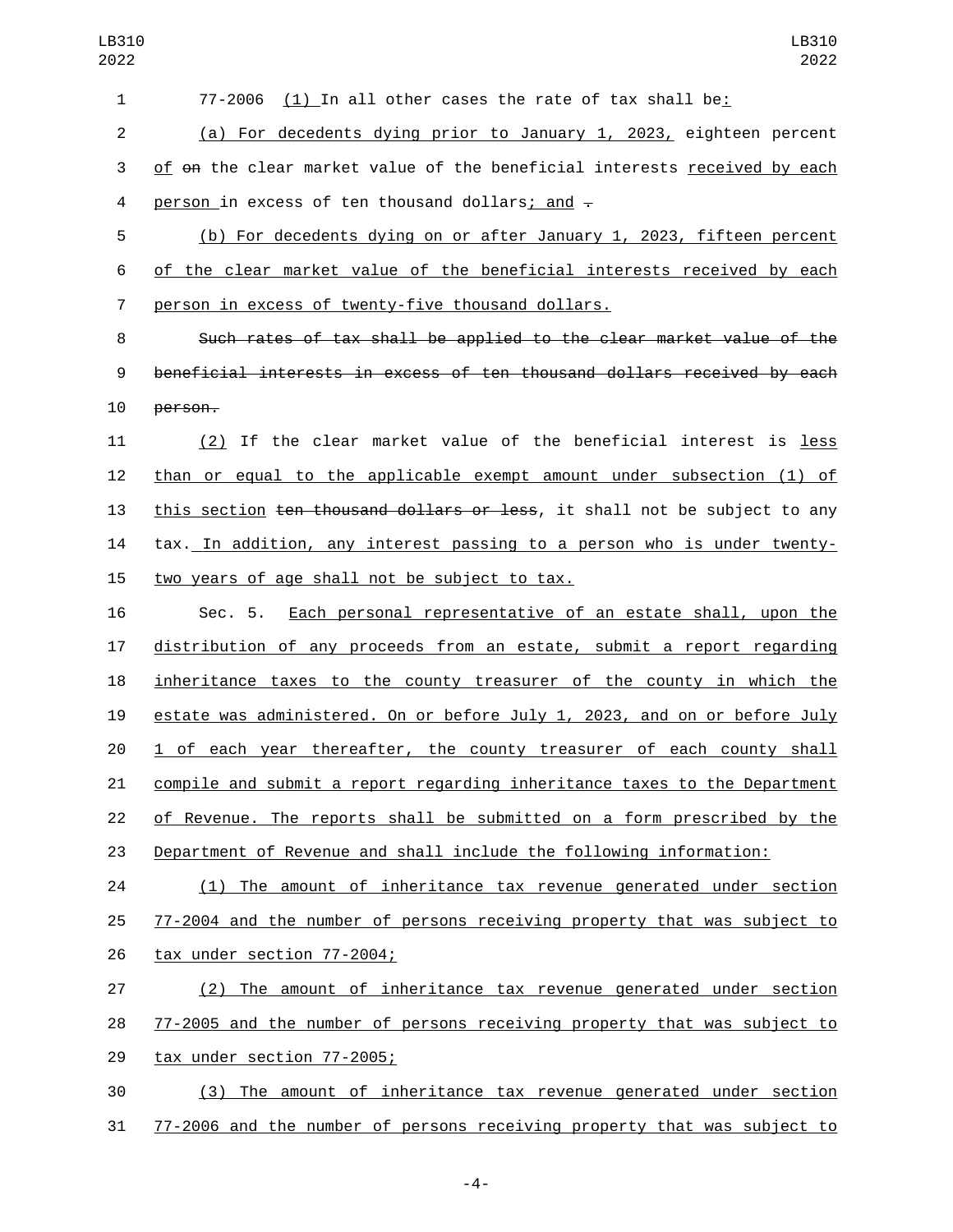| 1              | (1) In all other cases the rate of tax shall be:<br>77-2006                 |
|----------------|-----------------------------------------------------------------------------|
| $\overline{2}$ | (a) For decedents dying prior to January 1, 2023, eighteen percent          |
| 3              | of on the clear market value of the beneficial interests received by each   |
| 4              | person in excess of ten thousand dollars; and -                             |
| 5              | (b) For decedents dying on or after January 1, 2023, fifteen percent        |
| 6              | of the clear market value of the beneficial interests received by each      |
| 7              | person in excess of twenty-five thousand dollars.                           |
| 8              | Such rates of tax shall be applied to the clear market value of the         |
| 9              | beneficial interests in excess of ten thousand dollars received by each     |
| 10             | person.                                                                     |
| 11             | (2) If the clear market value of the beneficial interest is less            |
| 12             | than or equal to the applicable exempt amount under subsection (1) of       |
| 13             | this section ten thousand dollars or less, it shall not be subject to any   |
| 14             | tax. In addition, any interest passing to a person who is under twenty-     |
| 15             | two years of age shall not be subject to tax.                               |
| 16             | Each personal representative of an estate shall, upon the<br>Sec. 5.        |
| 17             | distribution of any proceeds from an estate, submit a report regarding      |
| 18             | inheritance taxes to the county treasurer of the county in which the        |
| 19             | estate was administered. On or before July 1, 2023, and on or before July   |
| 20             | <u>1 of each year thereafter, the county treasurer of each county shall</u> |
| 21             | compile and submit a report regarding inheritance taxes to the Department   |
| 22             | of Revenue. The reports shall be submitted on a form prescribed by the      |
| 23             | Department of Revenue and shall include the following information:          |
| 24             | The amount of inheritance tax revenue generated under section<br>(1)        |
| 25             | 77-2004 and the number of persons receiving property that was subject to    |
| 26             | tax under section 77-2004;                                                  |
| 27             | (2) The amount of inheritance tax revenue generated under section           |
| 28             | 77-2005 and the number of persons receiving property that was subject to    |
| 29             | tax under section 77-2005;                                                  |
| 30             | The amount of inheritance tax revenue generated under section<br>(3)        |

77-2006 and the number of persons receiving property that was subject to

-4-